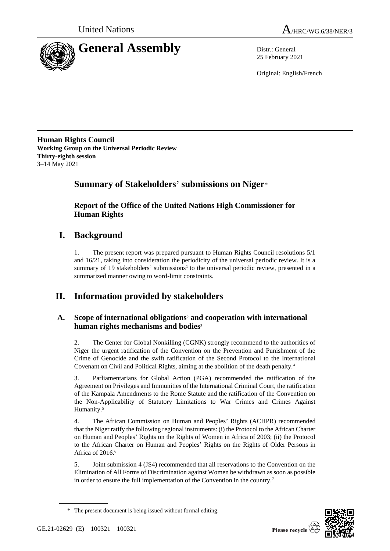

25 February 2021

Original: English/French

**Human Rights Council Working Group on the Universal Periodic Review Thirty-eighth session** 3–14 May 2021

# **Summary of Stakeholders' submissions on Niger**\*

**Report of the Office of the United Nations High Commissioner for Human Rights**

# **I. Background**

1. The present report was prepared pursuant to Human Rights Council resolutions 5/1 and 16/21, taking into consideration the periodicity of the universal periodic review. It is a summary of 19 stakeholders' submissions<sup>1</sup> to the universal periodic review, presented in a summarized manner owing to word-limit constraints.

# **II. Information provided by stakeholders**

# **A. Scope of international obligations**<sup>2</sup> **and cooperation with international human rights mechanisms and bodies**<sup>3</sup>

2. The Center for Global Nonkilling (CGNK) strongly recommend to the authorities of Niger the urgent ratification of the Convention on the Prevention and Punishment of the Crime of Genocide and the swift ratification of the Second Protocol to the International Covenant on Civil and Political Rights, aiming at the abolition of the death penalty.<sup>4</sup>

3. Parliamentarians for Global Action (PGA) recommended the ratification of the Agreement on Privileges and Immunities of the International Criminal Court, the ratification of the Kampala Amendments to the Rome Statute and the ratification of the Convention on the Non-Applicability of Statutory Limitations to War Crimes and Crimes Against Humanity.<sup>5</sup>

4. The African Commission on Human and Peoples' Rights (ACHPR) recommended that the Niger ratify the following regional instruments: (i) the Protocol to the African Charter on Human and Peoples' Rights on the Rights of Women in Africa of 2003; (ii) the Protocol to the African Charter on Human and Peoples' Rights on the Rights of Older Persons in Africa of 2016.<sup>6</sup>

5. Joint submission 4 (JS4) recommended that all reservations to the Convention on the Elimination of All Forms of Discrimination against Women be withdrawn as soon as possible in order to ensure the full implementation of the Convention in the country.<sup>7</sup>



<sup>\*</sup> The present document is being issued without formal editing.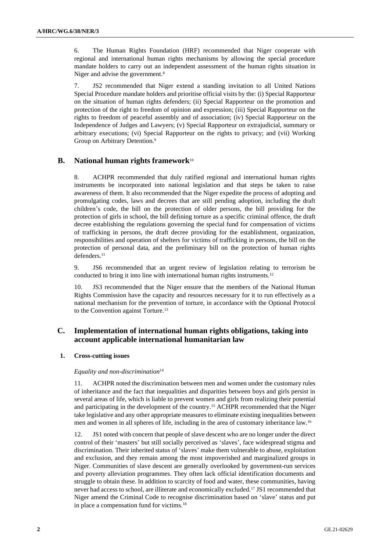6. The Human Rights Foundation (HRF) recommended that Niger cooperate with regional and international human rights mechanisms by allowing the special procedure mandate holders to carry out an independent assessment of the human rights situation in Niger and advise the government.<sup>8</sup>

7. JS2 recommended that Niger extend a standing invitation to all United Nations Special Procedure mandate holders and prioritise official visits by the: (i) Special Rapporteur on the situation of human rights defenders; (ii) Special Rapporteur on the promotion and protection of the right to freedom of opinion and expression; (iii) Special Rapporteur on the rights to freedom of peaceful assembly and of association; (iv) Special Rapporteur on the Independence of Judges and Lawyers; (v) Special Rapporteur on extrajudicial, summary or arbitrary executions; (vi) Special Rapporteur on the rights to privacy; and (vii) Working Group on Arbitrary Detention.<sup>9</sup>

# **B. National human rights framework**<sup>10</sup>

8. ACHPR recommended that duly ratified regional and international human rights instruments be incorporated into national legislation and that steps be taken to raise awareness of them. It also recommended that the Niger expedite the process of adopting and promulgating codes, laws and decrees that are still pending adoption, including the draft children's code, the bill on the protection of older persons, the bill providing for the protection of girls in school, the bill defining torture as a specific criminal offence, the draft decree establishing the regulations governing the special fund for compensation of victims of trafficking in persons, the draft decree providing for the establishment, organization, responsibilities and operation of shelters for victims of trafficking in persons, the bill on the protection of personal data, and the preliminary bill on the protection of human rights defenders.<sup>11</sup>

9. JS6 recommended that an urgent review of legislation relating to terrorism be conducted to bring it into line with international human rights instruments.<sup>12</sup>

10. JS3 recommended that the Niger ensure that the members of the National Human Rights Commission have the capacity and resources necessary for it to run effectively as a national mechanism for the prevention of torture, in accordance with the Optional Protocol to the Convention against Torture.<sup>13</sup>

# **C. Implementation of international human rights obligations, taking into account applicable international humanitarian law**

# **1. Cross-cutting issues**

## *Equality and non-discrimination*<sup>14</sup>

11. ACHPR noted the discrimination between men and women under the customary rules of inheritance and the fact that inequalities and disparities between boys and girls persist in several areas of life, which is liable to prevent women and girls from realizing their potential and participating in the development of the country.<sup>15</sup> ACHPR recommended that the Niger take legislative and any other appropriate measures to eliminate existing inequalities between men and women in all spheres of life, including in the area of customary inheritance law.<sup>16</sup>

12. JS1 noted with concern that people of slave descent who are no longer under the direct control of their 'masters' but still socially perceived as 'slaves', face widespread stigma and discrimination. Their inherited status of 'slaves' make them vulnerable to abuse, exploitation and exclusion, and they remain among the most impoverished and marginalized groups in Niger. Communities of slave descent are generally overlooked by government-run services and poverty alleviation programmes. They often lack official identification documents and struggle to obtain these. In addition to scarcity of food and water, these communities, having never had access to school, are illiterate and economically excluded.<sup>17</sup> JS1 recommended that Niger amend the Criminal Code to recognise discrimination based on 'slave' status and put in place a compensation fund for victims.18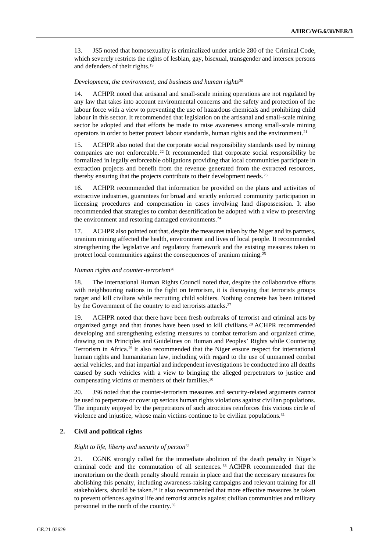13. JS5 noted that homosexuality is criminalized under article 280 of the Criminal Code, which severely restricts the rights of lesbian, gay, bisexual, transgender and intersex persons and defenders of their rights.<sup>19</sup>

## *Development, the environment, and business and human rights*<sup>20</sup>

14. ACHPR noted that artisanal and small-scale mining operations are not regulated by any law that takes into account environmental concerns and the safety and protection of the labour force with a view to preventing the use of hazardous chemicals and prohibiting child labour in this sector. It recommended that legislation on the artisanal and small-scale mining sector be adopted and that efforts be made to raise awareness among small-scale mining operators in order to better protect labour standards, human rights and the environment.<sup>21</sup>

ACHPR also noted that the corporate social responsibility standards used by mining companies are not enforceable. <sup>22</sup> It recommended that corporate social responsibility be formalized in legally enforceable obligations providing that local communities participate in extraction projects and benefit from the revenue generated from the extracted resources, thereby ensuring that the projects contribute to their development needs.<sup>23</sup>

16. ACHPR recommended that information be provided on the plans and activities of extractive industries, guarantees for broad and strictly enforced community participation in licensing procedures and compensation in cases involving land dispossession. It also recommended that strategies to combat desertification be adopted with a view to preserving the environment and restoring damaged environments.<sup>24</sup>

17. ACHPR also pointed out that, despite the measures taken by the Niger and its partners, uranium mining affected the health, environment and lives of local people. It recommended strengthening the legislative and regulatory framework and the existing measures taken to protect local communities against the consequences of uranium mining.<sup>25</sup>

# *Human rights and counter-terrorism*<sup>26</sup>

18. The International Human Rights Council noted that, despite the collaborative efforts with neighbouring nations in the fight on terrorism, it is dismaying that terrorists groups target and kill civilians while recruiting child soldiers. Nothing concrete has been initiated by the Government of the country to end terrorists attacks.<sup>27</sup>

ACHPR noted that there have been fresh outbreaks of terrorist and criminal acts by organized gangs and that drones have been used to kill civilians.<sup>28</sup> ACHPR recommended developing and strengthening existing measures to combat terrorism and organized crime, drawing on its Principles and Guidelines on Human and Peoples' Rights while Countering Terrorism in Africa.<sup>29</sup> It also recommended that the Niger ensure respect for international human rights and humanitarian law, including with regard to the use of unmanned combat aerial vehicles, and that impartial and independent investigations be conducted into all deaths caused by such vehicles with a view to bringing the alleged perpetrators to justice and compensating victims or members of their families.<sup>30</sup>

20. JS6 noted that the counter-terrorism measures and security-related arguments cannot be used to perpetrate or cover up serious human rights violations against civilian populations. The impunity enjoyed by the perpetrators of such atrocities reinforces this vicious circle of violence and injustice, whose main victims continue to be civilian populations.<sup>31</sup>

## **2. Civil and political rights**

# *Right to life, liberty and security of person*<sup>32</sup>

21. CGNK strongly called for the immediate abolition of the death penalty in Niger's criminal code and the commutation of all sentences. <sup>33</sup> ACHPR recommended that the moratorium on the death penalty should remain in place and that the necessary measures for abolishing this penalty, including awareness-raising campaigns and relevant training for all stakeholders, should be taken.<sup>34</sup> It also recommended that more effective measures be taken to prevent offences against life and terrorist attacks against civilian communities and military personnel in the north of the country.35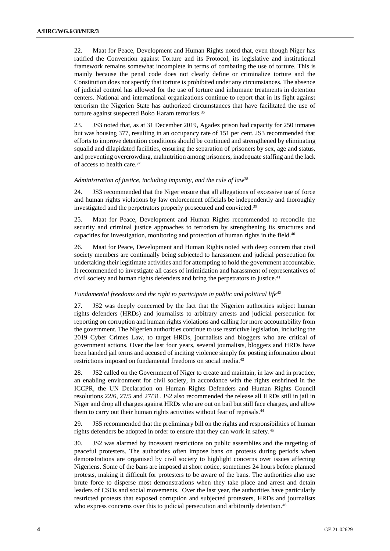22. Maat for Peace, Development and Human Rights noted that, even though Niger has ratified the Convention against Torture and its Protocol, its legislative and institutional framework remains somewhat incomplete in terms of combating the use of torture. This is mainly because the penal code does not clearly define or criminalize torture and the Constitution does not specify that torture is prohibited under any circumstances. The absence of judicial control has allowed for the use of torture and inhumane treatments in detention centers. National and international organizations continue to report that in its fight against terrorism the Nigerien State has authorized circumstances that have facilitated the use of torture against suspected Boko Haram terrorists.<sup>36</sup>

23. JS3 noted that, as at 31 December 2019, Agadez prison had capacity for 250 inmates but was housing 377, resulting in an occupancy rate of 151 per cent. JS3 recommended that efforts to improve detention conditions should be continued and strengthened by eliminating squalid and dilapidated facilities, ensuring the separation of prisoners by sex, age and status, and preventing overcrowding, malnutrition among prisoners, inadequate staffing and the lack of access to health care.<sup>37</sup>

# *Administration of justice, including impunity, and the rule of law*<sup>38</sup>

24. JS3 recommended that the Niger ensure that all allegations of excessive use of force and human rights violations by law enforcement officials be independently and thoroughly investigated and the perpetrators properly prosecuted and convicted.<sup>39</sup>

25. Maat for Peace, Development and Human Rights recommended to reconcile the security and criminal justice approaches to terrorism by strengthening its structures and capacities for investigation, monitoring and protection of human rights in the field.<sup>40</sup>

26. Maat for Peace, Development and Human Rights noted with deep concern that civil society members are continually being subjected to harassment and judicial persecution for undertaking their legitimate activities and for attempting to hold the government accountable. It recommended to investigate all cases of intimidation and harassment of representatives of civil society and human rights defenders and bring the perpetrators to justice.<sup>41</sup>

## *Fundamental freedoms and the right to participate in public and political life*<sup>42</sup>

27. JS2 was deeply concerned by the fact that the Nigerien authorities subject human rights defenders (HRDs) and journalists to arbitrary arrests and judicial persecution for reporting on corruption and human rights violations and calling for more accountability from the government. The Nigerien authorities continue to use restrictive legislation, including the 2019 Cyber Crimes Law, to target HRDs, journalists and bloggers who are critical of government actions. Over the last four years, several journalists, bloggers and HRDs have been handed jail terms and accused of inciting violence simply for posting information about restrictions imposed on fundamental freedoms on social media.<sup>43</sup>

28. JS2 called on the Government of Niger to create and maintain, in law and in practice, an enabling environment for civil society, in accordance with the rights enshrined in the ICCPR, the UN Declaration on Human Rights Defenders and Human Rights Council resolutions 22/6, 27/5 and 27/31. JS2 also recommended the release all HRDs still in jail in Niger and drop all charges against HRDs who are out on bail but still face charges, and allow them to carry out their human rights activities without fear of reprisals.<sup>44</sup>

29. JS5 recommended that the preliminary bill on the rights and responsibilities of human rights defenders be adopted in order to ensure that they can work in safety.<sup>45</sup>

30. JS2 was alarmed by incessant restrictions on public assemblies and the targeting of peaceful protesters. The authorities often impose bans on protests during periods when demonstrations are organised by civil society to highlight concerns over issues affecting Nigeriens. Some of the bans are imposed at short notice, sometimes 24 hours before planned protests, making it difficult for protesters to be aware of the bans. The authorities also use brute force to disperse most demonstrations when they take place and arrest and detain leaders of CSOs and social movements. Over the last year, the authorities have particularly restricted protests that exposed corruption and subjected protesters, HRDs and journalists who express concerns over this to judicial persecution and arbitrarily detention.<sup>46</sup>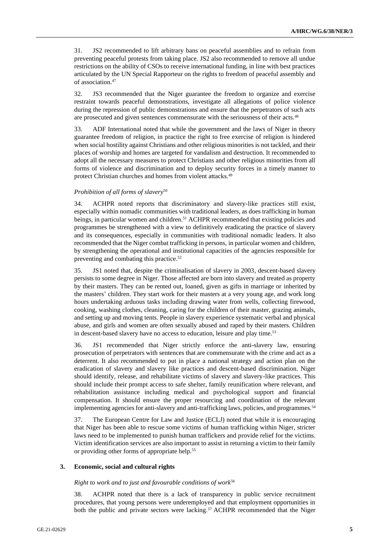31. JS2 recommended to lift arbitrary bans on peaceful assemblies and to refrain from preventing peaceful protests from taking place. JS2 also recommended to remove all undue restrictions on the ability of CSOs to receive international funding, in line with best practices articulated by the UN Special Rapporteur on the rights to freedom of peaceful assembly and of association.<sup>47</sup>

32. JS3 recommended that the Niger guarantee the freedom to organize and exercise restraint towards peaceful demonstrations, investigate all allegations of police violence during the repression of public demonstrations and ensure that the perpetrators of such acts are prosecuted and given sentences commensurate with the seriousness of their acts.<sup>48</sup>

33. ADF International noted that while the government and the laws of Niger in theory guarantee freedom of religion, in practice the right to free exercise of religion is hindered when social hostility against Christians and other religious minorities is not tackled, and their places of worship and homes are targeted for vandalism and destruction. It recommended to adopt all the necessary measures to protect Christians and other religious minorities from all forms of violence and discrimination and to deploy security forces in a timely manner to protect Christian churches and homes from violent attacks.<sup>49</sup>

# *Prohibition of all forms of slavery*<sup>50</sup>

34. ACHPR noted reports that discriminatory and slavery-like practices still exist, especially within nomadic communities with traditional leaders, as does trafficking in human beings, in particular women and children.<sup>51</sup> ACHPR recommended that existing policies and programmes be strengthened with a view to definitively eradicating the practice of slavery and its consequences, especially in communities with traditional nomadic leaders. It also recommended that the Niger combat trafficking in persons, in particular women and children, by strengthening the operational and institutional capacities of the agencies responsible for preventing and combating this practice.<sup>52</sup>

35. JS1 noted that, despite the criminalisation of slavery in 2003, descent-based slavery persists to some degree in Niger. Those affected are born into slavery and treated as property by their masters. They can be rented out, loaned, given as gifts in marriage or inherited by the masters' children. They start work for their masters at a very young age, and work long hours undertaking arduous tasks including drawing water from wells, collecting firewood, cooking, washing clothes, cleaning, caring for the children of their master, grazing animals, and setting up and moving tents. People in slavery experience systematic verbal and physical abuse, and girls and women are often sexually abused and raped by their masters. Children in descent-based slavery have no access to education, leisure and play time.<sup>53</sup>

36. JS1 recommended that Niger strictly enforce the anti-slavery law, ensuring prosecution of perpetrators with sentences that are commensurate with the crime and act as a deterrent. It also recommended to put in place a national strategy and action plan on the eradication of slavery and slavery like practices and descent-based discrimination. Niger should identify, release, and rehabilitate victims of slavery and slavery-like practices. This should include their prompt access to safe shelter, family reunification where relevant, and rehabilitation assistance including medical and psychological support and financial compensation. It should ensure the proper resourcing and coordination of the relevant implementing agencies for anti-slavery and anti-trafficking laws, policies, and programmes.<sup>54</sup>

37. The European Centre for Law and Justice (ECLJ) noted that while it is encouraging that Niger has been able to rescue some victims of human trafficking within Niger, stricter laws need to be implemented to punish human traffickers and provide relief for the victims. Victim identification services are also important to assist in returning a victim to their family or providing other forms of appropriate help.<sup>55</sup>

#### **3. Economic, social and cultural rights**

#### *Right to work and to just and favourable conditions of work*<sup>56</sup>

38. ACHPR noted that there is a lack of transparency in public service recruitment procedures, that young persons were underemployed and that employment opportunities in both the public and private sectors were lacking.<sup>57</sup> ACHPR recommended that the Niger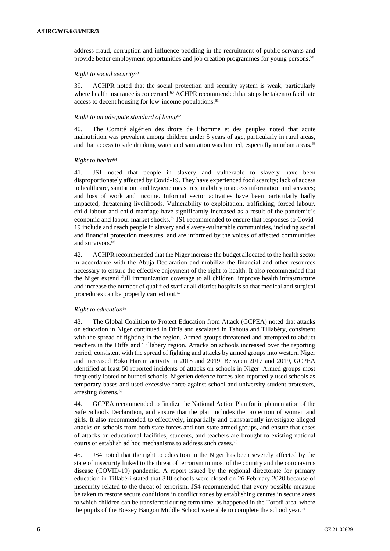address fraud, corruption and influence peddling in the recruitment of public servants and provide better employment opportunities and job creation programmes for young persons.<sup>58</sup>

## *Right to social security*<sup>59</sup>

39. ACHPR noted that the social protection and security system is weak, particularly where health insurance is concerned.<sup>60</sup> ACHPR recommended that steps be taken to facilitate access to decent housing for low-income populations.<sup>61</sup>

## *Right to an adequate standard of living*<sup>62</sup>

40. The Comité algérien des droits de l'homme et des peuples noted that acute malnutrition was prevalent among children under 5 years of age, particularly in rural areas, and that access to safe drinking water and sanitation was limited, especially in urban areas.<sup>63</sup>

# *Right to health*<sup>64</sup>

41. JS1 noted that people in slavery and vulnerable to slavery have been disproportionately affected by Covid-19. They have experienced food scarcity; lack of access to healthcare, sanitation, and hygiene measures; inability to access information and services; and loss of work and income. Informal sector activities have been particularly badly impacted, threatening livelihoods. Vulnerability to exploitation, trafficking, forced labour, child labour and child marriage have significantly increased as a result of the pandemic's economic and labour market shocks.<sup>65</sup> JS1 recommended to ensure that responses to Covid-19 include and reach people in slavery and slavery-vulnerable communities, including social and financial protection measures, and are informed by the voices of affected communities and survivors.<sup>66</sup>

42. ACHPR recommended that the Niger increase the budget allocated to the health sector in accordance with the Abuja Declaration and mobilize the financial and other resources necessary to ensure the effective enjoyment of the right to health. It also recommended that the Niger extend full immunization coverage to all children, improve health infrastructure and increase the number of qualified staff at all district hospitals so that medical and surgical procedures can be properly carried out.<sup>67</sup>

# *Right to education*<sup>68</sup>

43. The Global Coalition to Protect Education from Attack (GCPEA) noted that attacks on education in Niger continued in Diffa and escalated in Tahoua and Tillabéry, consistent with the spread of fighting in the region. Armed groups threatened and attempted to abduct teachers in the Diffa and Tillabéry region. Attacks on schools increased over the reporting period, consistent with the spread of fighting and attacks by armed groups into western Niger and increased Boko Haram activity in 2018 and 2019. Between 2017 and 2019, GCPEA identified at least 50 reported incidents of attacks on schools in Niger. Armed groups most frequently looted or burned schools. Nigerien defence forces also reportedly used schools as temporary bases and used excessive force against school and university student protesters, arresting dozens.<sup>69</sup>

44. GCPEA recommended to finalize the National Action Plan for implementation of the Safe Schools Declaration, and ensure that the plan includes the protection of women and girls. It also recommended to effectively, impartially and transparently investigate alleged attacks on schools from both state forces and non-state armed groups, and ensure that cases of attacks on educational facilities, students, and teachers are brought to existing national courts or establish ad hoc mechanisms to address such cases.<sup>70</sup>

45. JS4 noted that the right to education in the Niger has been severely affected by the state of insecurity linked to the threat of terrorism in most of the country and the coronavirus disease (COVID-19) pandemic. A report issued by the regional directorate for primary education in Tillabéri stated that 310 schools were closed on 26 February 2020 because of insecurity related to the threat of terrorism. JS4 recommended that every possible measure be taken to restore secure conditions in conflict zones by establishing centres in secure areas to which children can be transferred during term time, as happened in the Torodi area, where the pupils of the Bossey Bangou Middle School were able to complete the school year.71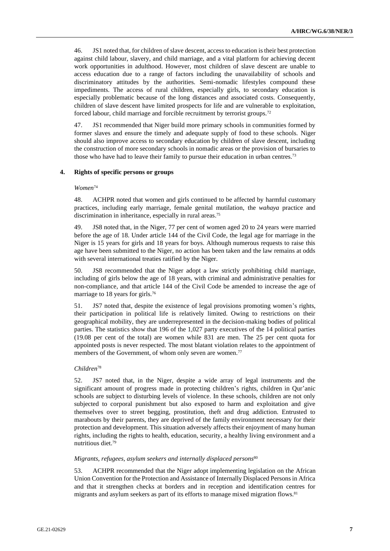46. JS1 noted that, for children of slave descent, access to education is their best protection against child labour, slavery, and child marriage, and a vital platform for achieving decent work opportunities in adulthood. However, most children of slave descent are unable to access education due to a range of factors including the unavailability of schools and discriminatory attitudes by the authorities. Semi-nomadic lifestyles compound these impediments. The access of rural children, especially girls, to secondary education is especially problematic because of the long distances and associated costs. Consequently, children of slave descent have limited prospects for life and are vulnerable to exploitation, forced labour, child marriage and forcible recruitment by terrorist groups.<sup>72</sup>

47. JS1 recommended that Niger build more primary schools in communities formed by former slaves and ensure the timely and adequate supply of food to these schools. Niger should also improve access to secondary education by children of slave descent, including the construction of more secondary schools in nomadic areas or the provision of bursaries to those who have had to leave their family to pursue their education in urban centres.<sup>73</sup>

## **4. Rights of specific persons or groups**

## *Women*<sup>74</sup>

48. ACHPR noted that women and girls continued to be affected by harmful customary practices, including early marriage, female genital mutilation, the *wahaya* practice and discrimination in inheritance, especially in rural areas. 75

49. JS8 noted that, in the Niger, 77 per cent of women aged 20 to 24 years were married before the age of 18. Under article 144 of the Civil Code, the legal age for marriage in the Niger is 15 years for girls and 18 years for boys. Although numerous requests to raise this age have been submitted to the Niger, no action has been taken and the law remains at odds with several international treaties ratified by the Niger.

50. JS8 recommended that the Niger adopt a law strictly prohibiting child marriage, including of girls below the age of 18 years, with criminal and administrative penalties for non-compliance, and that article 144 of the Civil Code be amended to increase the age of marriage to 18 years for girls.<sup>76</sup>

51. JS7 noted that, despite the existence of legal provisions promoting women's rights, their participation in political life is relatively limited. Owing to restrictions on their geographical mobility, they are underrepresented in the decision-making bodies of political parties. The statistics show that 196 of the 1,027 party executives of the 14 political parties (19.08 per cent of the total) are women while 831 are men. The 25 per cent quota for appointed posts is never respected. The most blatant violation relates to the appointment of members of the Government, of whom only seven are women.<sup>77</sup>

## *Children*<sup>78</sup>

52. JS7 noted that, in the Niger, despite a wide array of legal instruments and the significant amount of progress made in protecting children's rights, children in Qur'anic schools are subject to disturbing levels of violence. In these schools, children are not only subjected to corporal punishment but also exposed to harm and exploitation and give themselves over to street begging, prostitution, theft and drug addiction. Entrusted to marabouts by their parents, they are deprived of the family environment necessary for their protection and development. This situation adversely affects their enjoyment of many human rights, including the rights to health, education, security, a healthy living environment and a nutritious diet.<sup>79</sup>

## *Migrants, refugees, asylum seekers and internally displaced persons*<sup>80</sup>

53. ACHPR recommended that the Niger adopt implementing legislation on the African Union Convention for the Protection and Assistance of Internally Displaced Persons in Africa and that it strengthen checks at borders and in reception and identification centres for migrants and asylum seekers as part of its efforts to manage mixed migration flows.<sup>81</sup>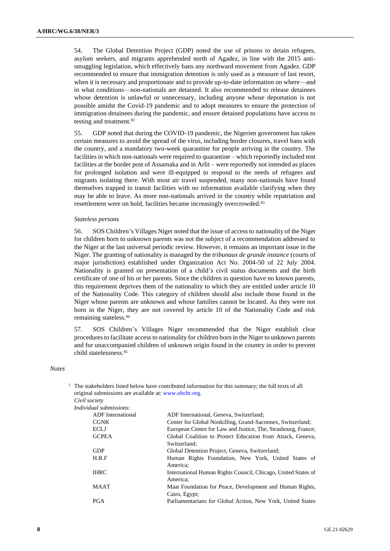54. The Global Detention Project (GDP) noted the use of prisons to detain refugees, asylum seekers, and migrants apprehended north of Agadez, in line with the 2015 antismuggling legislation, which effectively bans any northward movement from Agadez. GDP recommended to ensure that immigration detention is only used as a measure of last resort, when it is necessary and proportionate and to provide up-to-date information on where—and in what conditions—non-nationals are detained. It also recommended to release detainees whose detention is unlawful or unnecessary, including anyone whose deportation is not possible amidst the Covid-19 pandemic and to adopt measures to ensure the protection of immigration detainees during the pandemic, and ensure detained populations have access to testing and treatment.<sup>82</sup>

55. GDP noted that during the COVID-19 pandemic, the Nigerien government has taken certain measures to avoid the spread of the virus, including border closures, travel bans with the country, and a mandatory two-week quarantine for people arriving in the country. The facilities in which non-nationals were required to quarantine – which reportedly included tent facilities at the border post of Assamaka and in Arlit – were reportedly not intended as places for prolonged isolation and were ill-equipped to respond to the needs of refugees and migrants isolating there. With most air travel suspended, many non-nationals have found themselves trapped in transit facilities with no information available clarifying when they may be able to leave. As more non-nationals arrived in the country while repatriation and resettlement were on hold, facilities became increasingly overcrowded.<sup>83</sup>

## *Stateless persons*

56. SOS Children's Villages Niger noted that the issue of access to nationality of the Niger for children born to unknown parents was not the subject of a recommendation addressed to the Niger at the last universal periodic review. However, it remains an important issue in the Niger. The granting of nationality is managed by the *tribunaux de grande instance* (courts of major jurisdiction) established under Organization Act No. 2004-50 of 22 July 2004. Nationality is granted on presentation of a child's civil status documents and the birth certificate of one of his or her parents. Since the children in question have no known parents, this requirement deprives them of the nationality to which they are entitled under article 10 of the Nationality Code. This category of children should also include those found in the Niger whose parents are unknown and whose families cannot be located. As they were not born in the Niger, they are not covered by article 10 of the Nationality Code and risk remaining stateless.<sup>84</sup>

57. SOS Children's Villages Niger recommended that the Niger establish clear procedures to facilitate access to nationality for children born in the Niger to unknown parents and for unaccompanied children of unknown origin found in the country in order to prevent child statelessness.<sup>85</sup>

# *Notes*

| Civil society<br>Individual submissions:<br><b>ADF</b> International<br>ADF International, Geneva, Switzerland;<br><b>CGNK</b><br>Center for Global Nonkilling, Grand-Saconnex, Switzerland;<br>European Centre for Law and Justice, The, Strasbourg, France;<br><b>ECLJ</b><br><b>GCPEA</b><br>Global Coalition to Protect Education from Attack, Geneva,<br>Switzerland:<br><b>GDP</b><br>Global Detention Project, Geneva, Switzerland;<br>H.R.F<br>Human Rights Foundation, New York, United States of<br>America:<br><b>IHRC</b><br>International Human Rights Council, Chicago, United States of |  |
|--------------------------------------------------------------------------------------------------------------------------------------------------------------------------------------------------------------------------------------------------------------------------------------------------------------------------------------------------------------------------------------------------------------------------------------------------------------------------------------------------------------------------------------------------------------------------------------------------------|--|
|                                                                                                                                                                                                                                                                                                                                                                                                                                                                                                                                                                                                        |  |
|                                                                                                                                                                                                                                                                                                                                                                                                                                                                                                                                                                                                        |  |
|                                                                                                                                                                                                                                                                                                                                                                                                                                                                                                                                                                                                        |  |
|                                                                                                                                                                                                                                                                                                                                                                                                                                                                                                                                                                                                        |  |
|                                                                                                                                                                                                                                                                                                                                                                                                                                                                                                                                                                                                        |  |
|                                                                                                                                                                                                                                                                                                                                                                                                                                                                                                                                                                                                        |  |
|                                                                                                                                                                                                                                                                                                                                                                                                                                                                                                                                                                                                        |  |
|                                                                                                                                                                                                                                                                                                                                                                                                                                                                                                                                                                                                        |  |
|                                                                                                                                                                                                                                                                                                                                                                                                                                                                                                                                                                                                        |  |
| America:                                                                                                                                                                                                                                                                                                                                                                                                                                                                                                                                                                                               |  |
| <b>MAAT</b><br>Maat Foundation for Peace, Development and Human Rights,<br>Cairo, Egypt;                                                                                                                                                                                                                                                                                                                                                                                                                                                                                                               |  |
| PGA<br>Parliamentarians for Global Action, New York, United States                                                                                                                                                                                                                                                                                                                                                                                                                                                                                                                                     |  |

<sup>1</sup> The stakeholders listed below have contributed information for this summary; the full texts of all original submissions are available at: www.obob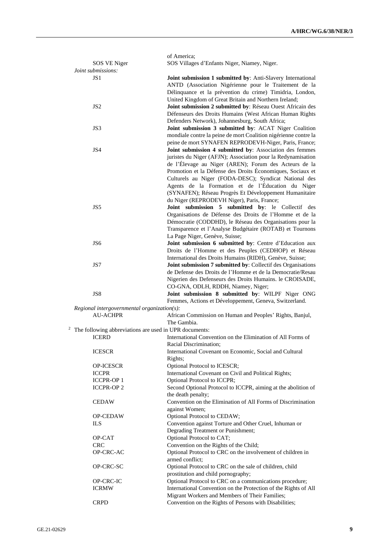|                                             | of America;                                                                                                              |
|---------------------------------------------|--------------------------------------------------------------------------------------------------------------------------|
| SOS VE Niger<br>Joint submissions:          | SOS Villages d'Enfants Niger, Niamey, Niger.                                                                             |
| JS 1                                        | Joint submission 1 submitted by: Anti-Slavery International                                                              |
|                                             | ANTD (Association Nigérienne pour le Traitement de la                                                                    |
|                                             | Délinquance et la prévention du crime) Timidria, London,<br>United Kingdom of Great Britain and Northern Ireland;        |
| JS <sub>2</sub>                             | Joint submission 2 submitted by: Réseau Ouest Africain des                                                               |
|                                             | Défenseurs des Droits Humains (West African Human Rights                                                                 |
| JS3                                         | Defenders Network), Johannesburg, South Africa;                                                                          |
|                                             | Joint submission 3 submitted by: ACAT Niger Coalition<br>mondiale contre la peine de mort Coalition nigérienne contre la |
|                                             | peine de mort SYNAFEN REPRODEVH-Niger, Paris, France;                                                                    |
| JS4                                         | Joint submission 4 submitted by: Association des femmes                                                                  |
|                                             | juristes du Niger (AFJN); Association pour la Redynamisation<br>de l'Élevage au Niger (AREN); Forum des Acteurs de la    |
|                                             | Promotion et la Défense des Droits Économiques, Sociaux et                                                               |
|                                             | Culturels au Niger (FODA-DESC); Syndicat National des<br>Agents de la Formation et de l'Éducation du Niger               |
|                                             | (SYNAFEN); Réseau Progrès Et Développement Humanitaire                                                                   |
|                                             | du Niger (REPRODEVH Niger), Paris, France;                                                                               |
| JS5                                         | Joint submission 5 submitted by: le Collectif des<br>Organisations de Défense des Droits de l'Homme et de la             |
|                                             | Démocratie (CODDHD), le Réseau des Organisations pour la                                                                 |
|                                             | Transparence et l'Analyse Budgétaire (ROTAB) et Tournons                                                                 |
| JS6                                         | La Page Niger, Genève, Suisse;<br>Joint submission 6 submitted by: Centre d'Education aux                                |
|                                             | Droits de l'Homme et des Peuples (CEDHOP) et Réseau                                                                      |
|                                             | International des Droits Humains (RIDH), Genève, Suisse;                                                                 |
| JS7                                         | Joint submission 7 submitted by: Collectif des Organisations                                                             |
|                                             | de Defense des Droits de l'Homme et de la Democratie/Resau<br>Nigerien des Defenseurs des Droits Humains. le CROISADE,   |
|                                             | CO-GNA, ODLH, RDDH, Niamey, Niger;                                                                                       |
| JS8                                         | Joint submission 8 submitted by: WILPF Niger ONG<br>Femmes, Actions et Développement, Geneva, Switzerland.               |
| Regional intergovernmental organization(s): |                                                                                                                          |
| <b>AU-ACHPR</b>                             | African Commission on Human and Peoples' Rights, Banjul,<br>The Gambia.                                                  |
|                                             | $2$ The following abbreviations are used in UPR documents:                                                               |
| <b>ICERD</b>                                | International Convention on the Elimination of All Forms of                                                              |
| <b>ICESCR</b>                               | Racial Discrimination;<br>International Covenant on Economic, Social and Cultural                                        |
|                                             | Rights;                                                                                                                  |
| OP-ICESCR                                   | Optional Protocol to ICESCR;                                                                                             |
| <b>ICCPR</b>                                | International Covenant on Civil and Political Rights;                                                                    |
| <b>ICCPR-OP1</b><br><b>ICCPR-OP 2</b>       | Optional Protocol to ICCPR;<br>Second Optional Protocol to ICCPR, aiming at the abolition of                             |
|                                             | the death penalty;                                                                                                       |
| <b>CEDAW</b>                                | Convention on the Elimination of All Forms of Discrimination                                                             |
| OP-CEDAW                                    | against Women;<br>Optional Protocol to CEDAW;                                                                            |
| ILS                                         | Convention against Torture and Other Cruel, Inhuman or                                                                   |
|                                             | Degrading Treatment or Punishment;                                                                                       |
| OP-CAT<br><b>CRC</b>                        | Optional Protocol to CAT;<br>Convention on the Rights of the Child;                                                      |
| OP-CRC-AC                                   | Optional Protocol to CRC on the involvement of children in                                                               |
|                                             | armed conflict;                                                                                                          |
| OP-CRC-SC                                   | Optional Protocol to CRC on the sale of children, child<br>prostitution and child pornography;                           |
| OP-CRC-IC                                   | Optional Protocol to CRC on a communications procedure;                                                                  |
| <b>ICRMW</b>                                | International Convention on the Protection of the Rights of All                                                          |
| <b>CRPD</b>                                 | Migrant Workers and Members of Their Families;                                                                           |
|                                             | Convention on the Rights of Persons with Disabilities;                                                                   |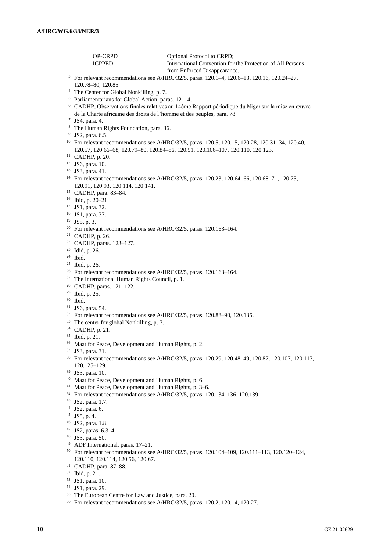OP-CRPD Optional Protocol to CRPD;<br>
ICPPED International Convention for International Convention for the Protection of All Persons from Enforced Disappearance. For relevant recommendations see A/HRC/32/5, paras. 120.1–4, 120.6–13, 120.16, 120.24–27, 120.78–80, 120.85. The Center for Global Nonkilling, p. 7. Parliamentarians for Global Action, paras. 12–14. CADHP, Observations finales relatives au 14ème Rapport périodique du Niger sur la mise en œuvre de la Charte africaine des droits de l'homme et des peuples, para. 78. JS4, para. 4. The Human Rights Foundation, para. 36. <sup>9</sup> JS2, para. 6.5. <sup>10</sup> For relevant recommendations see A/HRC/32/5, paras. 120.5, 120.15, 120.28, 120.31-34, 120.40, 120.57, 120.66–68, 120.79–80, 120.84–86, 120.91, 120.106–107, 120.110, 120.123. CADHP, p. 20. JS6, para. 10. <sup>13</sup> JS3, para. 41. <sup>14</sup> For relevant recommendations see A/HRC/32/5, paras. 120.23, 120.64–66, 120.68–71, 120.75, 120.91, 120.93, 120.114, 120.141. CADHP, para. 83–84. Ibid, p. 20–21. JS1, para. 32. JS1, para. 37. JS5, p. 3. <sup>20</sup> For relevant recommendations see A/HRC/32/5, paras. 120.163-164. CADHP, p. 26. CADHP, paras. 123–127. Idid, p. 26. Ibid. Ibid, p. 26. For relevant recommendations see A/HRC/32/5, paras. 120.163–164. The International Human Rights Council, p. 1. CADHP, paras. 121–122. Ibid, p. 25. Ibid. JS6, para. 54. <sup>32</sup> For relevant recommendations see A/HRC/32/5, paras. 120.88–90, 120.135. <sup>33</sup> The center for global Nonkilling, p. 7. CADHP, p. 21. Ibid, p. 21. Maat for Peace, Development and Human Rights, p. 2. JS3, para. 31. For relevant recommendations see A/HRC/32/5, paras. 120.29, 120.48–49, 120.87, 120.107, 120.113, 120.125–129. JS3, para. 10. Maat for Peace, Development and Human Rights, p. 6. Maat for Peace, Development and Human Rights, p. 3–6. For relevant recommendations see A/HRC/32/5, paras. 120.134–136, 120.139. JS2, para. 1.7. JS2, para. 6. JS5, p. 4. JS2, para. 1.8. JS2, paras. 6.3–4. JS3, para. 50. ADF International, paras. 17–21. For relevant recommendations see A/HRC/32/5, paras. 120.104–109, 120.111–113, 120.120–124, 120.110, 120.114, 120.56, 120.67. CADHP, para. 87–88. Ibid, p. 21.

- JS1, para. 10.
- JS1, para. 29.
- The European Centre for Law and Justice, para. 20.
- For relevant recommendations see A/HRC/32/5, paras. 120.2, 120.14, 120.27.